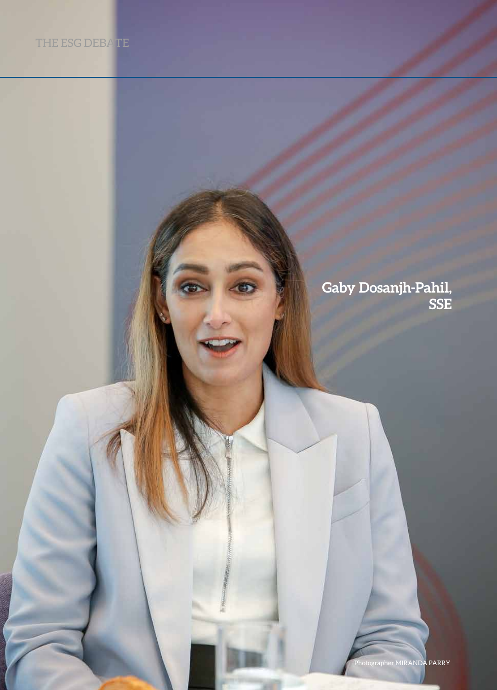76 **Legal Business** November/December 2021

## **Gaby Dosanjh-Pahil, SSE**

Photographer MIRANDA PARRY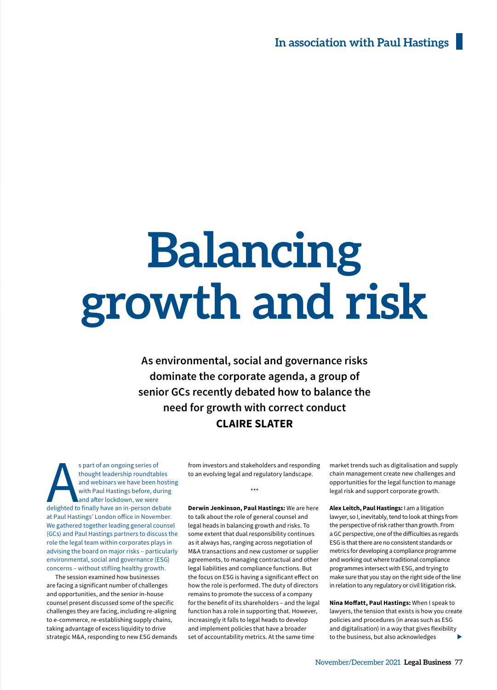# **Balancing growth and risk**

**As environmental, social and governance risks dominate the corporate agenda, a group of senior GCs recently debated how to balance the need for growth with correct conduct CLAIRE SLATER**

s part of an ongoing series of<br>thought leadership roundtables<br>and webinars we have been hostin<br>with Paul Hastings before, during<br>and after lockdown, we were<br>delighted to finally have an in-person debate s part of an ongoing series of thought leadership roundtables and webinars we have been hosting with Paul Hastings before, during and after lockdown, we were at Paul Hastings' London office in November. We gathered together leading general counsel (GCs) and Paul Hastings partners to discuss the role the legal team within corporates plays in advising the board on major risks – particularly environmental, social and governance (ESG) concerns – without stifling healthy growth.

The session examined how businesses are facing a significant number of challenges and opportunities, and the senior in-house counsel present discussed some of the specific challenges they are facing, including re-aligning to e-commerce, re-establishing supply chains, taking advantage of excess liquidity to drive strategic M&A, responding to new ESG demands from investors and stakeholders and responding to an evolving legal and regulatory landscape.

\*\*\*

**Derwin Jenkinson, Paul Hastings:** We are here to talk about the role of general counsel and legal heads in balancing growth and risks. To some extent that dual responsibility continues as it always has, ranging across negotiation of M&A transactions and new customer or supplier agreements, to managing contractual and other legal liabilities and compliance functions. But the focus on ESG is having a significant effect on how the role is performed. The duty of directors remains to promote the success of a company for the benefit of its shareholders – and the legal function has a role in supporting that. However, increasingly it falls to legal heads to develop and implement policies that have a broader set of accountability metrics. At the same time

market trends such as digitalisation and supply chain management create new challenges and opportunities for the legal function to manage legal risk and support corporate growth.

**Alex Leitch, Paul Hastings:** I am a litigation lawyer, so I, inevitably, tend to look at things from the perspective of risk rather than growth. From a GC perspective, one of the difficulties as regards ESG is that there are no consistent standards or metrics for developing a compliance programme and working out where traditional compliance programmes intersect with ESG, and trying to make sure that you stay on the right side of the line in relation to any regulatory or civil litigation risk.

**Nina Moffatt, Paul Hastings:** When I speak to lawyers, the tension that exists is how you create policies and procedures (in areas such as ESG and digitalisation) in a way that gives flexibility to the business, but also acknowledges  $\blacktriangleright$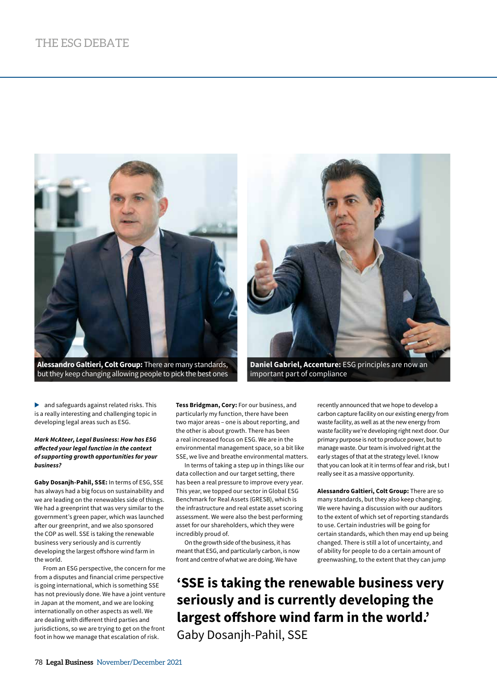

**Alessandro Galtieri, Colt Group:** There are many standards, but they keep changing allowing people to pick the best ones



**Daniel Gabriel, Accenture:** ESG principles are now an important part of compliance

 $\blacktriangleright$  and safeguards against related risks. This is a really interesting and challenging topic in developing legal areas such as ESG.

#### *Mark McAteer, Legal Business: How has ESG affected your legal function in the context of supporting growth opportunities for your business?*

**Gaby Dosanjh-Pahil, SSE:** In terms of ESG, SSE has always had a big focus on sustainability and we are leading on the renewables side of things. We had a greenprint that was very similar to the government's green paper, which was launched after our greenprint, and we also sponsored the COP as well. SSE is taking the renewable business very seriously and is currently developing the largest offshore wind farm in the world.

From an ESG perspective, the concern for me from a disputes and financial crime perspective is going international, which is something SSE has not previously done. We have a joint venture in Japan at the moment, and we are looking internationally on other aspects as well. We are dealing with different third parties and jurisdictions, so we are trying to get on the front foot in how we manage that escalation of risk.

**Tess Bridgman, Cory:** For our business, and particularly my function, there have been two major areas – one is about reporting, and the other is about growth. There has been a real increased focus on ESG. We are in the environmental management space, so a bit like SSE, we live and breathe environmental matters.

In terms of taking a step up in things like our data collection and our target setting, there has been a real pressure to improve every year. This year, we topped our sector in Global ESG Benchmark for Real Assets (GRESB), which is the infrastructure and real estate asset scoring assessment. We were also the best performing asset for our shareholders, which they were incredibly proud of.

On the growth side of the business, it has meant that ESG, and particularly carbon, is now front and centre of what we are doing. We have

recently announced that we hope to develop a carbon capture facility on our existing energy from waste facility, as well as at the new energy from waste facility we're developing right next door. Our primary purpose is not to produce power, but to manage waste. Our team is involved right at the early stages of that at the strategy level. I know that you can look at it in terms of fear and risk, but I really see it as a massive opportunity.

**Alessandro Galtieri, Colt Group:** There are so many standards, but they also keep changing. We were having a discussion with our auditors to the extent of which set of reporting standards to use. Certain industries will be going for certain standards, which then may end up being changed. There is still a lot of uncertainty, and of ability for people to do a certain amount of greenwashing, to the extent that they can jump

**'SSE is taking the renewable business very seriously and is currently developing the largest offshore wind farm in the world.'** Gaby Dosanjh-Pahil, SSE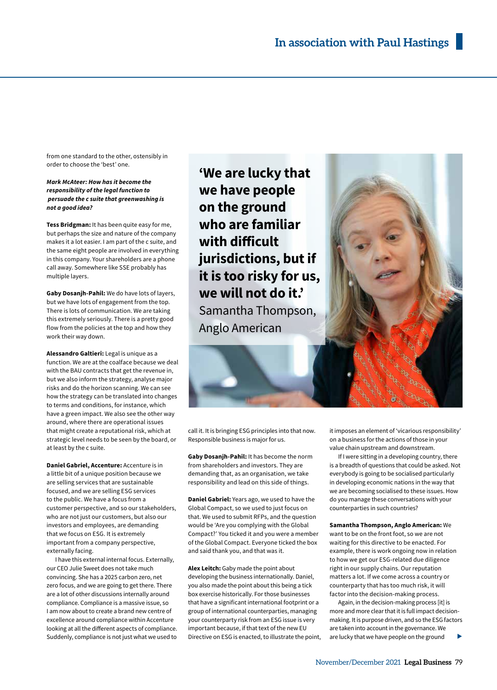from one standard to the other, ostensibly in order to choose the 'best' one.

#### *Mark McAteer: How has it become the responsibility of the legal function to persuade the c suite that greenwashing is not a good idea?*

**Tess Bridgman:** It has been quite easy for me, but perhaps the size and nature of the company makes it a lot easier. I am part of the c suite, and the same eight people are involved in everything in this company. Your shareholders are a phone call away. Somewhere like SSE probably has multiple layers.

**Gaby Dosanjh-Pahil:** We do have lots of layers, but we have lots of engagement from the top. There is lots of communication. We are taking this extremely seriously. There is a pretty good flow from the policies at the top and how they work their way down.

**Alessandro Galtieri:** Legal is unique as a function. We are at the coalface because we deal with the BAU contracts that get the revenue in, but we also inform the strategy, analyse major risks and do the horizon scanning. We can see how the strategy can be translated into changes to terms and conditions, for instance, which have a green impact. We also see the other way around, where there are operational issues that might create a reputational risk, which at strategic level needs to be seen by the board, or at least by the c suite.

**Daniel Gabriel, Accenture:** Accenture is in a little bit of a unique position because we are selling services that are sustainable focused, and we are selling ESG services to the public. We have a focus from a customer perspective, and so our stakeholders, who are not just our customers, but also our investors and employees, are demanding that we focus on ESG. It is extremely important from a company perspective, externally facing.

I have this external internal focus. Externally, our CEO Julie Sweet does not take much convincing. She has a 2025 carbon zero, net zero focus, and we are going to get there. There are a lot of other discussions internally around compliance. Compliance is a massive issue, so I am now about to create a brand new centre of excellence around compliance within Accenture looking at all the different aspects of compliance. Suddenly, compliance is not just what we used to

**'We are lucky that we have people on the ground who are familiar with difficult jurisdictions, but if it is too risky for us, we will not do it.'**  Samantha Thompson, Anglo American

call it. It is bringing ESG principles into that now. Responsible business is major for us.

**Gaby Dosanjh-Pahil:** It has become the norm from shareholders and investors. They are demanding that, as an organisation, we take responsibility and lead on this side of things.

**Daniel Gabriel:** Years ago, we used to have the Global Compact, so we used to just focus on that. We used to submit RFPs, and the question would be 'Are you complying with the Global Compact?' You ticked it and you were a member of the Global Compact. Everyone ticked the box and said thank you, and that was it.

**Alex Leitch:** Gaby made the point about developing the business internationally. Daniel, you also made the point about this being a tick box exercise historically. For those businesses that have a significant international footprint or a group of international counterparties, managing your counterparty risk from an ESG issue is very important because, if that text of the new EU Directive on ESG is enacted, to illustrate the point,



it imposes an element of 'vicarious responsibility' on a business for the actions of those in your value chain upstream and downstream.

If I were sitting in a developing country, there is a breadth of questions that could be asked. Not everybody is going to be socialised particularly in developing economic nations in the way that we are becoming socialised to these issues. How do you manage these conversations with your counterparties in such countries?

**Samantha Thompson, Anglo American:** We

want to be on the front foot, so we are not waiting for this directive to be enacted. For example, there is work ongoing now in relation to how we get our ESG-related due diligence right in our supply chains. Our reputation matters a lot. If we come across a country or counterparty that has too much risk, it will factor into the decision-making process.

Again, in the decision-making process [it] is more and more clear that it is full impact decisionmaking. It is purpose driven, and so the ESG factors are taken into account in the governance. We are lucky that we have people on the ground  $\blacktriangleright$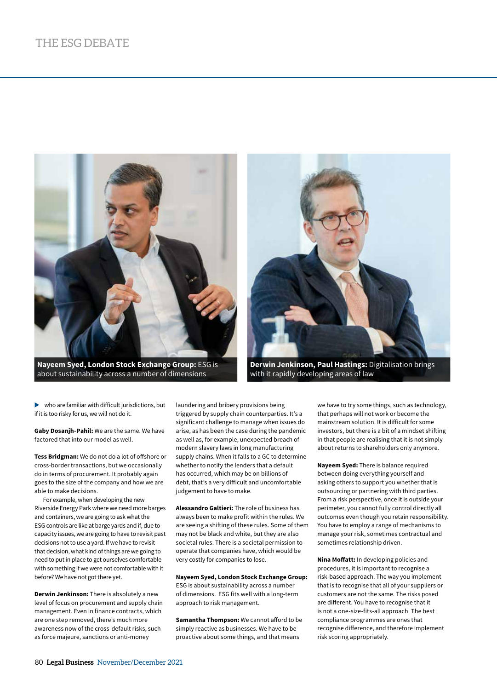

**Nayeem Syed, London Stock Exchange Group:** ESG is about sustainability across a number of dimensions



**Derwin Jenkinson, Paul Hastings:** Digitalisation brings with it rapidly developing areas of law

 $\blacktriangleright$  who are familiar with difficult jurisdictions, but if it is too risky for us, we will not do it.

**Gaby Dosanjh-Pahil:** We are the same. We have factored that into our model as well.

**Tess Bridgman:** We do not do a lot of offshore or cross-border transactions, but we occasionally do in terms of procurement. It probably again goes to the size of the company and how we are able to make decisions.

For example, when developing the new Riverside Energy Park where we need more barges and containers, we are going to ask what the ESG controls are like at barge yards and if, due to capacity issues, we are going to have to revisit past decisions not to use a yard. If we have to revisit that decision, what kind of things are we going to need to put in place to get ourselves comfortable with something if we were not comfortable with it before? We have not got there yet.

**Derwin Jenkinson:** There is absolutely a new level of focus on procurement and supply chain management. Even in finance contracts, which are one step removed, there's much more awareness now of the cross-default risks, such as force majeure, sanctions or anti-money

laundering and bribery provisions being triggered by supply chain counterparties. It's a significant challenge to manage when issues do arise, as has been the case during the pandemic as well as, for example, unexpected breach of modern slavery laws in long manufacturing supply chains. When it falls to a GC to determine whether to notify the lenders that a default has occurred, which may be on billions of debt, that's a very difficult and uncomfortable judgement to have to make.

**Alessandro Galtieri:** The role of business has always been to make profit within the rules. We are seeing a shifting of these rules. Some of them may not be black and white, but they are also societal rules. There is a societal permission to operate that companies have, which would be very costly for companies to lose.

**Nayeem Syed, London Stock Exchange Group:** ESG is about sustainability across a number of dimensions. ESG fits well with a long-term approach to risk management.

**Samantha Thompson:** We cannot afford to be simply reactive as businesses. We have to be proactive about some things, and that means

we have to try some things, such as technology, that perhaps will not work or become the mainstream solution. It is difficult for some investors, but there is a bit of a mindset shifting in that people are realising that it is not simply about returns to shareholders only anymore.

**Nayeem Syed:** There is balance required between doing everything yourself and asking others to support you whether that is outsourcing or partnering with third parties. From a risk perspective, once it is outside your perimeter, you cannot fully control directly all outcomes even though you retain responsibility. You have to employ a range of mechanisms to manage your risk, sometimes contractual and sometimes relationship driven.

**Nina Moffatt:** In developing policies and procedures, it is important to recognise a risk-based approach. The way you implement that is to recognise that all of your suppliers or customers are not the same. The risks posed are different. You have to recognise that it is not a one-size-fits-all approach. The best compliance programmes are ones that recognise difference, and therefore implement risk scoring appropriately.